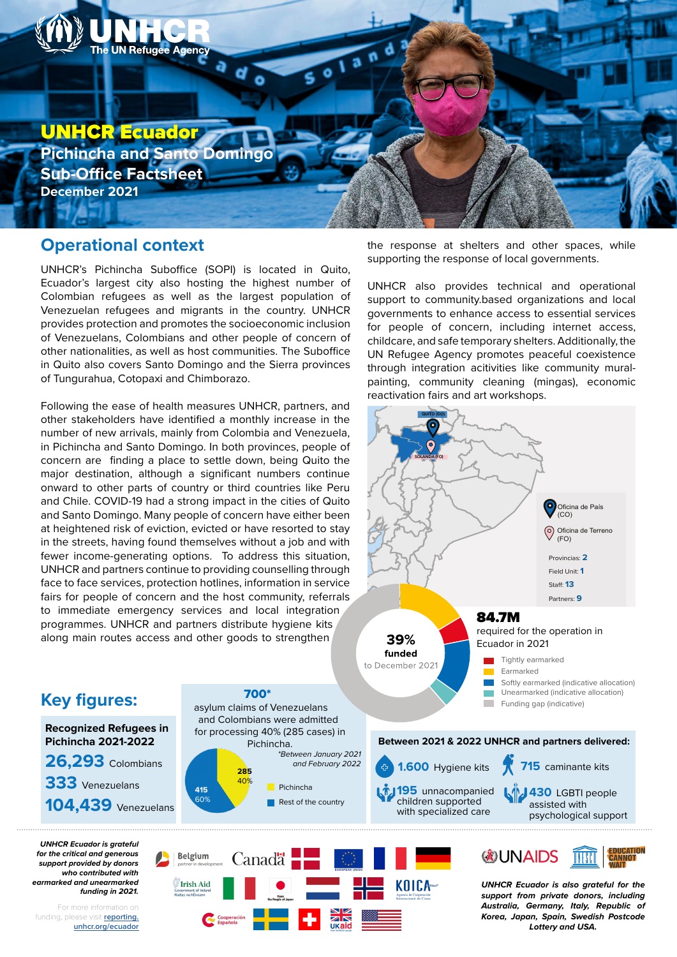

## **Operational context**

UNHCR's Pichincha Suboffice (SOPI) is located in Quito, Ecuador's largest city also hosting the highest number of Colombian refugees as well as the largest population of Venezuelan refugees and migrants in the country. UNHCR provides protection and promotes the socioeconomic inclusion of Venezuelans, Colombians and other people of concern of other nationalities, as well as host communities. The Suboffice in Quito also covers Santo Domingo and the Sierra provinces of Tungurahua, Cotopaxi and Chimborazo.

Following the ease of health measures UNHCR, partners, and other stakeholders have identified a monthly increase in the number of new arrivals, mainly from Colombia and Venezuela, in Pichincha and Santo Domingo. In both provinces, people of concern are finding a place to settle down, being Quito the major destination, although a significant numbers continue onward to other parts of country or third countries like Peru and Chile. COVID-19 had a strong impact in the cities of Quito and Santo Domingo. Many people of concern have either been at heightened risk of eviction, evicted or have resorted to stay in the streets, having found themselves without a job and with fewer income-generating options. To address this situation, UNHCR and partners continue to providing counselling through face to face services, protection hotlines, information in service fairs for people of concern and the host community, referrals to immediate emergency services and local integration programmes. UNHCR and partners distribute hygiene kits along main routes access and other goods to strengthen

the response at shelters and other spaces, while supporting the response of local governments.

UNHCR also provides technical and operational support to community.based organizations and local governments to enhance access to essential services for people of concern, including internet access, childcare, and safe temporary shelters. Additionally, the UN Refugee Agency promotes peaceful coexistence through integration acitivities like community muralpainting, community cleaning (mingas), economic reactivation fairs and art workshops.



## 700\* **Key figures:** asylum claims of Venezuelans and Colombians were admitted **Recognized Refugees in**  for processing 40% (285 cases) in **Pichincha 2021-2022** Pichincha. *\*Between January 2021*  **26,293** Colombians *and February 2022* **285 333** Venezuelans 40% Pichincha **415** 60% Rest of the country **104,439** Venezuelans *UNHCR Ecuador is grateful <b>*UNAIDS

*for the critical and generous support provided by donors who contributed with earmarked and unearmarked* 

For more information on funding, please visit **reporting. unhcr.org/ecuador**